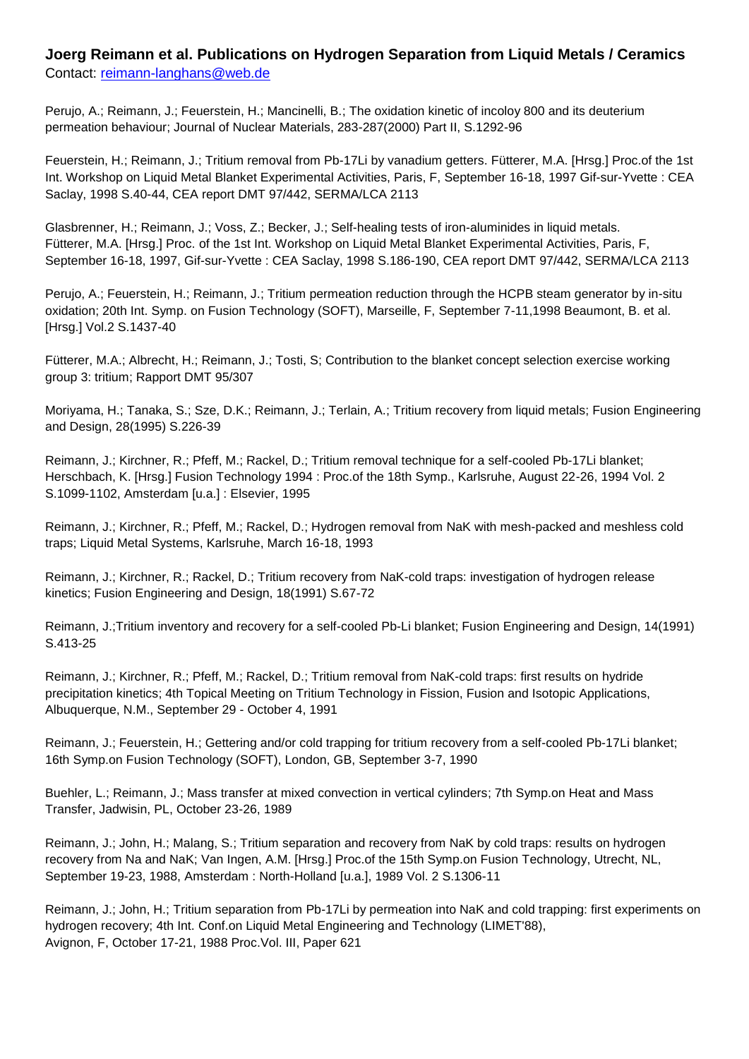## **Joerg Reimann et al. Publications on Hydrogen Separation from Liquid Metals / Ceramics**

Contact: [reimann-langhans@web.de](mailto:reimann-langhans@web.de)

Perujo, A.; Reimann, J.; Feuerstein, H.; Mancinelli, B.; The oxidation kinetic of incoloy 800 and its deuterium permeation behaviour; Journal of Nuclear Materials, 283-287(2000) Part II, S.1292-96

Feuerstein, H.; Reimann, J.; Tritium removal from Pb-17Li by vanadium getters. Fütterer, M.A. [Hrsg.] Proc.of the 1st Int. Workshop on Liquid Metal Blanket Experimental Activities, Paris, F, September 16-18, 1997 Gif-sur-Yvette : CEA Saclay, 1998 S.40-44, CEA report DMT 97/442, SERMA/LCA 2113

Glasbrenner, H.; Reimann, J.; Voss, Z.; Becker, J.; Self-healing tests of iron-aluminides in liquid metals. Fütterer, M.A. [Hrsg.] Proc. of the 1st Int. Workshop on Liquid Metal Blanket Experimental Activities, Paris, F, September 16-18, 1997, Gif-sur-Yvette : CEA Saclay, 1998 S.186-190, CEA report DMT 97/442, SERMA/LCA 2113

Perujo, A.; Feuerstein, H.; Reimann, J.; Tritium permeation reduction through the HCPB steam generator by in-situ oxidation; 20th Int. Symp. on Fusion Technology (SOFT), Marseille, F, September 7-11,1998 Beaumont, B. et al. [Hrsg.] Vol.2 S.1437-40

Fütterer, M.A.; Albrecht, H.; Reimann, J.; Tosti, S; Contribution to the blanket concept selection exercise working group 3: tritium; Rapport DMT 95/307

Moriyama, H.; Tanaka, S.; Sze, D.K.; Reimann, J.; Terlain, A.; Tritium recovery from liquid metals; Fusion Engineering and Design, 28(1995) S.226-39

Reimann, J.; Kirchner, R.; Pfeff, M.; Rackel, D.; Tritium removal technique for a self-cooled Pb-17Li blanket; Herschbach, K. [Hrsg.] Fusion Technology 1994 : Proc.of the 18th Symp., Karlsruhe, August 22-26, 1994 Vol. 2 S.1099-1102, Amsterdam [u.a.] : Elsevier, 1995

Reimann, J.; Kirchner, R.; Pfeff, M.; Rackel, D.; Hydrogen removal from NaK with mesh-packed and meshless cold traps; Liquid Metal Systems, Karlsruhe, March 16-18, 1993

Reimann, J.; Kirchner, R.; Rackel, D.; Tritium recovery from NaK-cold traps: investigation of hydrogen release kinetics; Fusion Engineering and Design, 18(1991) S.67-72

Reimann, J.;Tritium inventory and recovery for a self-cooled Pb-Li blanket; Fusion Engineering and Design, 14(1991) S.413-25

Reimann, J.; Kirchner, R.; Pfeff, M.; Rackel, D.; Tritium removal from NaK-cold traps: first results on hydride precipitation kinetics; 4th Topical Meeting on Tritium Technology in Fission, Fusion and Isotopic Applications, Albuquerque, N.M., September 29 - October 4, 1991

Reimann, J.; Feuerstein, H.; Gettering and/or cold trapping for tritium recovery from a self-cooled Pb-17Li blanket; 16th Symp.on Fusion Technology (SOFT), London, GB, September 3-7, 1990

Buehler, L.; Reimann, J.; Mass transfer at mixed convection in vertical cylinders; 7th Symp.on Heat and Mass Transfer, Jadwisin, PL, October 23-26, 1989

Reimann, J.; John, H.; Malang, S.; Tritium separation and recovery from NaK by cold traps: results on hydrogen recovery from Na and NaK; Van Ingen, A.M. [Hrsg.] Proc.of the 15th Symp.on Fusion Technology, Utrecht, NL, September 19-23, 1988, Amsterdam : North-Holland [u.a.], 1989 Vol. 2 S.1306-11

Reimann, J.; John, H.; Tritium separation from Pb-17Li by permeation into NaK and cold trapping: first experiments on hydrogen recovery; 4th Int. Conf.on Liquid Metal Engineering and Technology (LIMET'88), Avignon, F, October 17-21, 1988 Proc.Vol. III, Paper 621